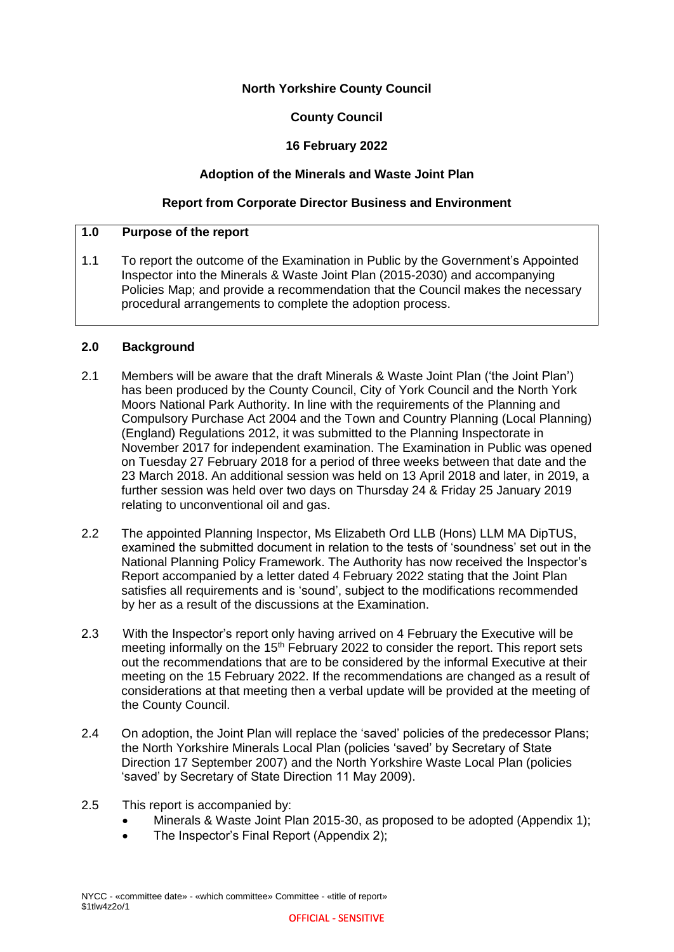### **North Yorkshire County Council**

### **County Council**

## **16 February 2022**

### **Adoption of the Minerals and Waste Joint Plan**

### **Report from Corporate Director Business and Environment**

### **1.0 Purpose of the report**

1.1 To report the outcome of the Examination in Public by the Government's Appointed Inspector into the Minerals & Waste Joint Plan (2015-2030) and accompanying Policies Map; and provide a recommendation that the Council makes the necessary procedural arrangements to complete the adoption process.

#### **2.0 Background**

- 2.1 Members will be aware that the draft Minerals & Waste Joint Plan ('the Joint Plan') has been produced by the County Council, City of York Council and the North York Moors National Park Authority. In line with the requirements of the Planning and Compulsory Purchase Act 2004 and the Town and Country Planning (Local Planning) (England) Regulations 2012, it was submitted to the Planning Inspectorate in November 2017 for independent examination. The Examination in Public was opened on Tuesday 27 February 2018 for a period of three weeks between that date and the 23 March 2018. An additional session was held on 13 April 2018 and later, in 2019, a further session was held over two days on Thursday 24 & Friday 25 January 2019 relating to unconventional oil and gas.
- 2.2 The appointed Planning Inspector, Ms Elizabeth Ord LLB (Hons) LLM MA DipTUS, examined the submitted document in relation to the tests of 'soundness' set out in the National Planning Policy Framework. The Authority has now received the Inspector's Report accompanied by a letter dated 4 February 2022 stating that the Joint Plan satisfies all requirements and is 'sound', subject to the modifications recommended by her as a result of the discussions at the Examination.
- 2.3 With the Inspector's report only having arrived on 4 February the Executive will be meeting informally on the  $15<sup>th</sup>$  February 2022 to consider the report. This report sets out the recommendations that are to be considered by the informal Executive at their meeting on the 15 February 2022. If the recommendations are changed as a result of considerations at that meeting then a verbal update will be provided at the meeting of the County Council.
- 2.4 On adoption, the Joint Plan will replace the 'saved' policies of the predecessor Plans; the North Yorkshire Minerals Local Plan (policies 'saved' by Secretary of State Direction 17 September 2007) and the North Yorkshire Waste Local Plan (policies 'saved' by Secretary of State Direction 11 May 2009).
- 2.5 This report is accompanied by:
	- Minerals & Waste Joint Plan 2015-30, as proposed to be adopted (Appendix 1);
	- The Inspector's Final Report (Appendix 2);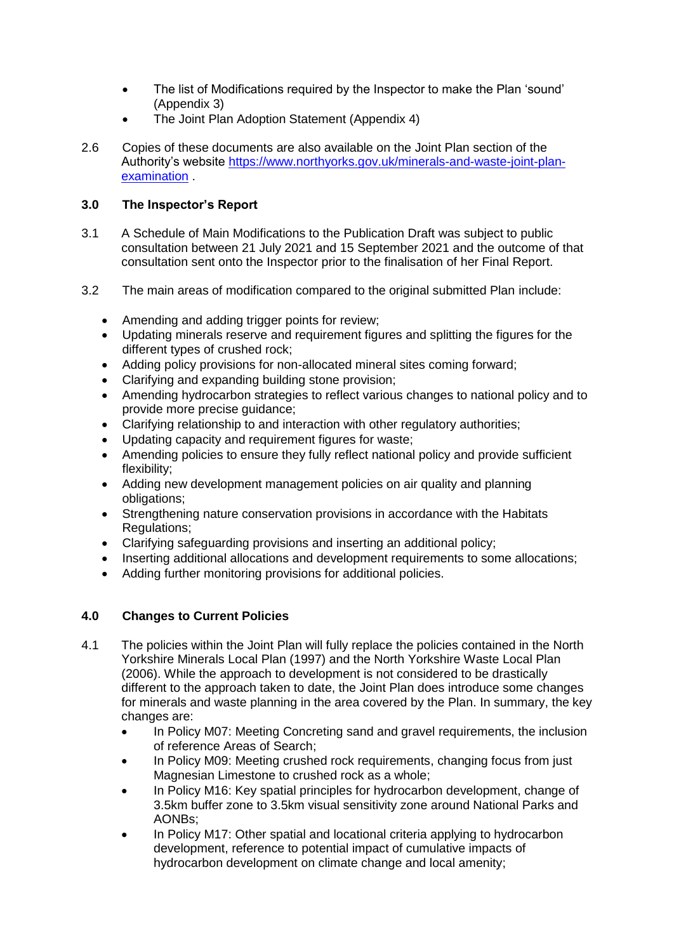- The list of Modifications required by the Inspector to make the Plan 'sound' (Appendix 3)
- The Joint Plan Adoption Statement (Appendix 4)
- 2.6 Copies of these documents are also available on the Joint Plan section of the Authority's website [https://www.northyorks.gov.uk/minerals-and-waste-joint-plan](https://www.northyorks.gov.uk/minerals-and-waste-joint-plan-examination)[examination](https://www.northyorks.gov.uk/minerals-and-waste-joint-plan-examination) .

# **3.0 The Inspector's Report**

- 3.1 A Schedule of Main Modifications to the Publication Draft was subject to public consultation between 21 July 2021 and 15 September 2021 and the outcome of that consultation sent onto the Inspector prior to the finalisation of her Final Report.
- 3.2 The main areas of modification compared to the original submitted Plan include:
	- Amending and adding trigger points for review;
	- Updating minerals reserve and requirement figures and splitting the figures for the different types of crushed rock;
	- Adding policy provisions for non-allocated mineral sites coming forward;
	- Clarifying and expanding building stone provision;
	- Amending hydrocarbon strategies to reflect various changes to national policy and to provide more precise guidance;
	- Clarifying relationship to and interaction with other regulatory authorities;
	- Updating capacity and requirement figures for waste;
	- Amending policies to ensure they fully reflect national policy and provide sufficient flexibility;
	- Adding new development management policies on air quality and planning obligations;
	- Strengthening nature conservation provisions in accordance with the Habitats Regulations;
	- Clarifying safeguarding provisions and inserting an additional policy;
	- Inserting additional allocations and development requirements to some allocations;
	- Adding further monitoring provisions for additional policies.

# **4.0 Changes to Current Policies**

- 4.1 The policies within the Joint Plan will fully replace the policies contained in the North Yorkshire Minerals Local Plan (1997) and the North Yorkshire Waste Local Plan (2006). While the approach to development is not considered to be drastically different to the approach taken to date, the Joint Plan does introduce some changes for minerals and waste planning in the area covered by the Plan. In summary, the key changes are:
	- In Policy M07: Meeting Concreting sand and gravel requirements, the inclusion of reference Areas of Search;
	- In Policy M09: Meeting crushed rock requirements, changing focus from just Magnesian Limestone to crushed rock as a whole;
	- In Policy M16: Key spatial principles for hydrocarbon development, change of 3.5km buffer zone to 3.5km visual sensitivity zone around National Parks and AONBs;
	- In Policy M17: Other spatial and locational criteria applying to hydrocarbon development, reference to potential impact of cumulative impacts of hydrocarbon development on climate change and local amenity;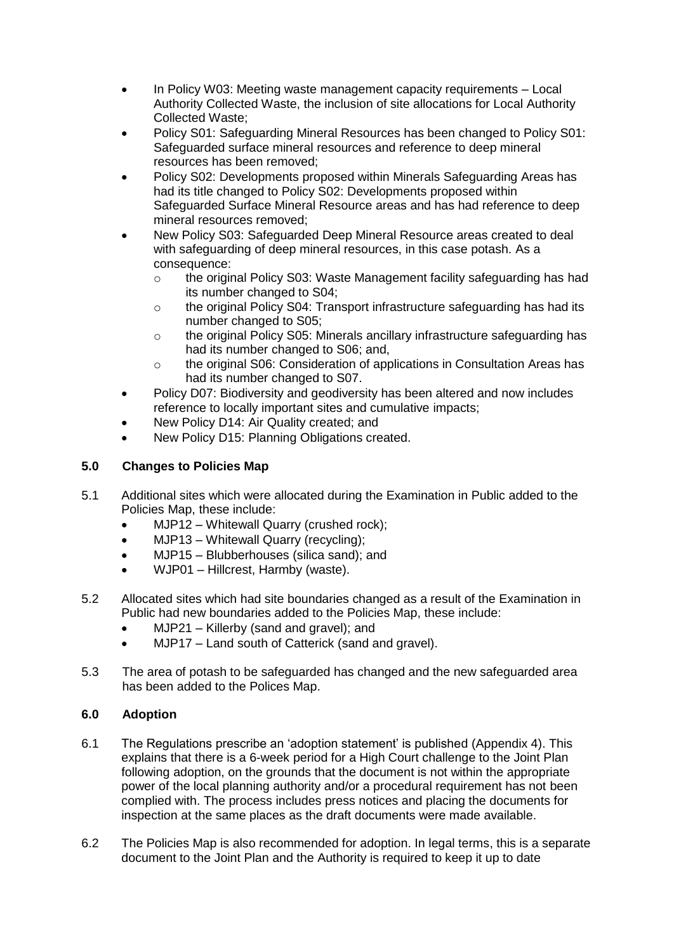- In Policy W03: Meeting waste management capacity requirements Local Authority Collected Waste, the inclusion of site allocations for Local Authority Collected Waste;
- Policy S01: Safeguarding Mineral Resources has been changed to Policy S01: Safeguarded surface mineral resources and reference to deep mineral resources has been removed;
- Policy S02: Developments proposed within Minerals Safeguarding Areas has had its title changed to Policy S02: Developments proposed within Safeguarded Surface Mineral Resource areas and has had reference to deep mineral resources removed;
- New Policy S03: Safeguarded Deep Mineral Resource areas created to deal with safeguarding of deep mineral resources, in this case potash. As a consequence:
	- o the original Policy S03: Waste Management facility safeguarding has had its number changed to S04;
	- o the original Policy S04: Transport infrastructure safeguarding has had its number changed to S05;
	- o the original Policy S05: Minerals ancillary infrastructure safeguarding has had its number changed to S06; and,
	- o the original S06: Consideration of applications in Consultation Areas has had its number changed to S07.
- Policy D07: Biodiversity and geodiversity has been altered and now includes reference to locally important sites and cumulative impacts;
- New Policy D14: Air Quality created; and
- New Policy D15: Planning Obligations created.

# **5.0 Changes to Policies Map**

- 5.1 Additional sites which were allocated during the Examination in Public added to the Policies Map, these include:
	- MJP12 Whitewall Quarry (crushed rock);
	- MJP13 Whitewall Quarry (recycling);
	- MJP15 Blubberhouses (silica sand); and
	- WJP01 Hillcrest, Harmby (waste).
- 5.2 Allocated sites which had site boundaries changed as a result of the Examination in Public had new boundaries added to the Policies Map, these include:
	- MJP21 Killerby (sand and gravel); and
	- MJP17 Land south of Catterick (sand and gravel).
- 5.3 The area of potash to be safeguarded has changed and the new safeguarded area has been added to the Polices Map.

# **6.0 Adoption**

- 6.1 The Regulations prescribe an 'adoption statement' is published (Appendix 4). This explains that there is a 6-week period for a High Court challenge to the Joint Plan following adoption, on the grounds that the document is not within the appropriate power of the local planning authority and/or a procedural requirement has not been complied with. The process includes press notices and placing the documents for inspection at the same places as the draft documents were made available.
- 6.2 The Policies Map is also recommended for adoption. In legal terms, this is a separate document to the Joint Plan and the Authority is required to keep it up to date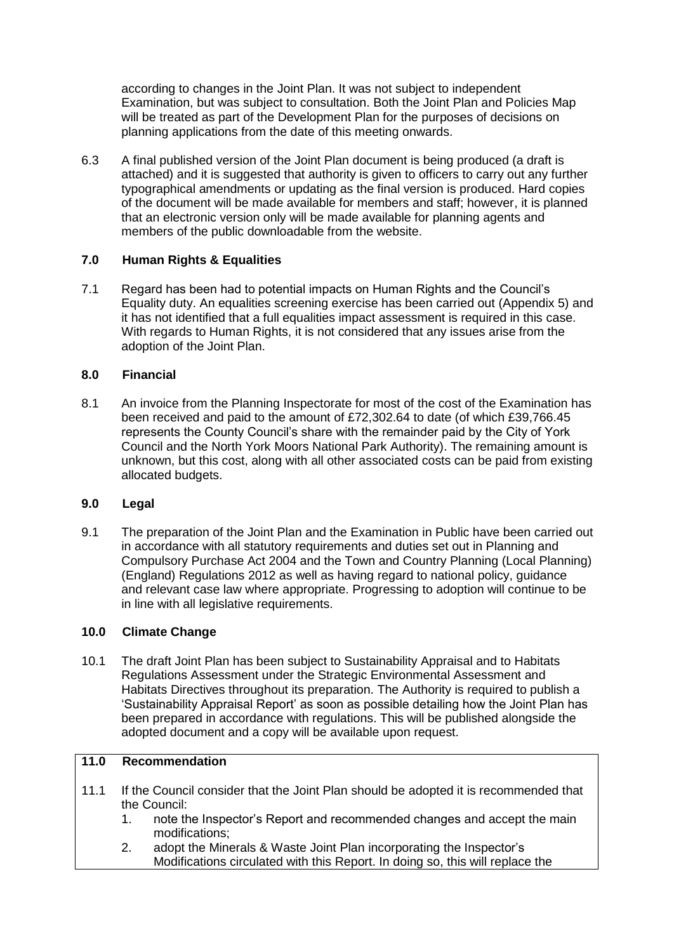according to changes in the Joint Plan. It was not subject to independent Examination, but was subject to consultation. Both the Joint Plan and Policies Map will be treated as part of the Development Plan for the purposes of decisions on planning applications from the date of this meeting onwards.

6.3 A final published version of the Joint Plan document is being produced (a draft is attached) and it is suggested that authority is given to officers to carry out any further typographical amendments or updating as the final version is produced. Hard copies of the document will be made available for members and staff; however, it is planned that an electronic version only will be made available for planning agents and members of the public downloadable from the website.

## **7.0 Human Rights & Equalities**

7.1 Regard has been had to potential impacts on Human Rights and the Council's Equality duty. An equalities screening exercise has been carried out (Appendix 5) and it has not identified that a full equalities impact assessment is required in this case. With regards to Human Rights, it is not considered that any issues arise from the adoption of the Joint Plan.

## **8.0 Financial**

8.1 An invoice from the Planning Inspectorate for most of the cost of the Examination has been received and paid to the amount of £72,302.64 to date (of which £39,766.45 represents the County Council's share with the remainder paid by the City of York Council and the North York Moors National Park Authority). The remaining amount is unknown, but this cost, along with all other associated costs can be paid from existing allocated budgets.

### **9.0 Legal**

9.1 The preparation of the Joint Plan and the Examination in Public have been carried out in accordance with all statutory requirements and duties set out in Planning and Compulsory Purchase Act 2004 and the Town and Country Planning (Local Planning) (England) Regulations 2012 as well as having regard to national policy, guidance and relevant case law where appropriate. Progressing to adoption will continue to be in line with all legislative requirements.

# **10.0 Climate Change**

10.1 The draft Joint Plan has been subject to Sustainability Appraisal and to Habitats Regulations Assessment under the Strategic Environmental Assessment and Habitats Directives throughout its preparation. The Authority is required to publish a 'Sustainability Appraisal Report' as soon as possible detailing how the Joint Plan has been prepared in accordance with regulations. This will be published alongside the adopted document and a copy will be available upon request.

## **11.0 Recommendation**

- 11.1 If the Council consider that the Joint Plan should be adopted it is recommended that the Council:
	- 1. note the Inspector's Report and recommended changes and accept the main modifications;
	- 2. adopt the Minerals & Waste Joint Plan incorporating the Inspector's Modifications circulated with this Report. In doing so, this will replace the